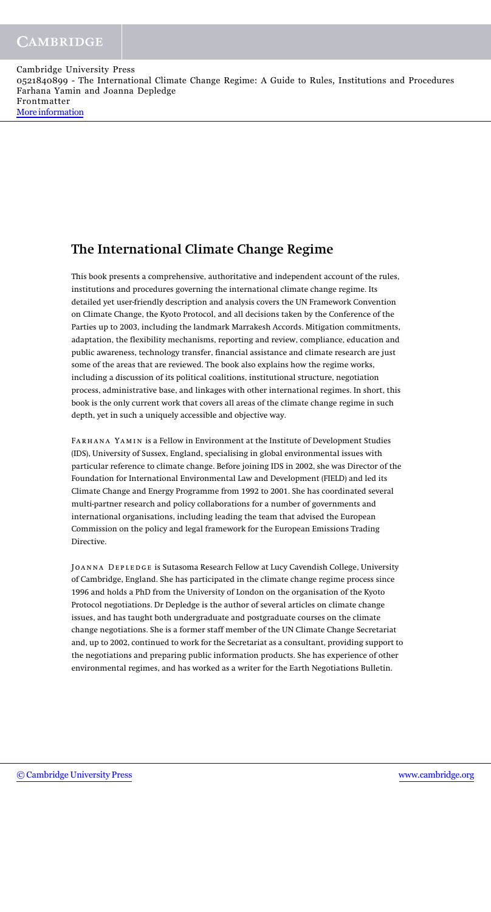## **The International Climate Change Regime**

This book presents a comprehensive, authoritative and independent account of the rules, institutions and procedures governing the international climate change regime. Its detailed yet user-friendly description and analysis covers the UN Framework Convention on Climate Change, the Kyoto Protocol, and all decisions taken by the Conference of the Parties up to 2003, including the landmark Marrakesh Accords. Mitigation commitments, adaptation, the flexibility mechanisms, reporting and review, compliance, education and public awareness, technology transfer, financial assistance and climate research are just some of the areas that are reviewed. The book also explains how the regime works, including a discussion of its political coalitions, institutional structure, negotiation process, administrative base, and linkages with other international regimes. In short, this book is the only current work that covers all areas of the climate change regime in such depth, yet in such a uniquely accessible and objective way.

Farhana Yamin is a Fellow in Environment at the Institute of Development Studies (IDS), University of Sussex, England, specialising in global environmental issues with particular reference to climate change. Before joining IDS in 2002, she was Director of the Foundation for International Environmental Law and Development (FIELD) and led its Climate Change and Energy Programme from 1992 to 2001. She has coordinated several multi-partner research and policy collaborations for a number of governments and international organisations, including leading the team that advised the European Commission on the policy and legal framework for the European Emissions Trading Directive.

Joanna Depledge is Sutasoma Research Fellow at Lucy Cavendish College, University of Cambridge, England. She has participated in the climate change regime process since 1996 and holds a PhD from the University of London on the organisation of the Kyoto Protocol negotiations. Dr Depledge is the author of several articles on climate change issues, and has taught both undergraduate and postgraduate courses on the climate change negotiations. She is a former staff member of the UN Climate Change Secretariat and, up to 2002, continued to work for the Secretariat as a consultant, providing support to the negotiations and preparing public information products. She has experience of other environmental regimes, and has worked as a writer for the Earth Negotiations Bulletin.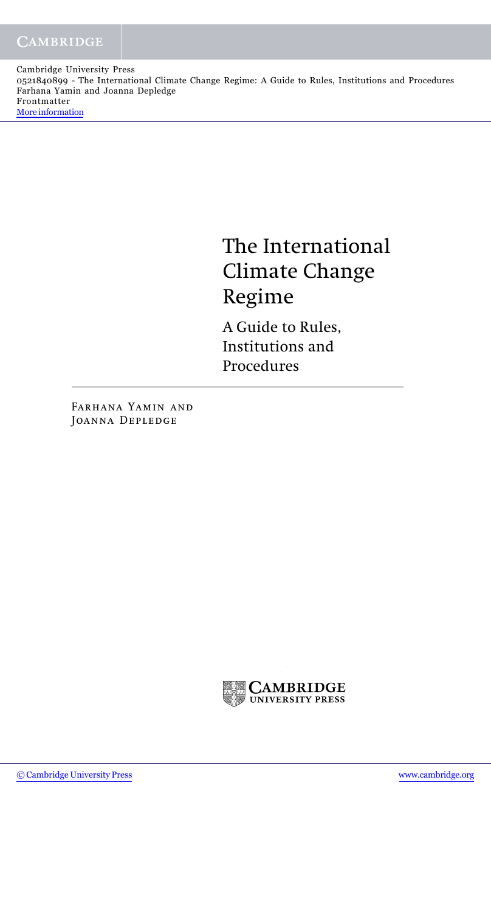# The International Climate Change Regime

A Guide to Rules, Institutions and Procedures

FARHANA YAMIN AND JOANNA DEPLEDGE

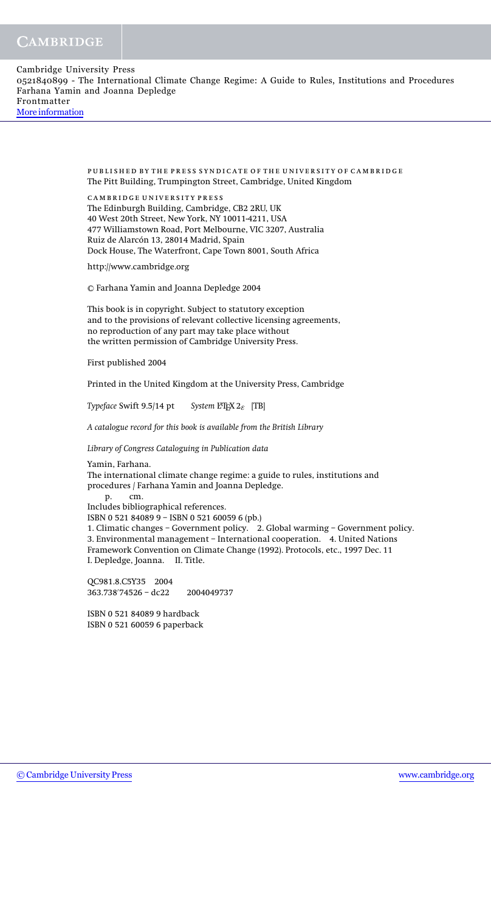| Cambridge University Press                                                                          |
|-----------------------------------------------------------------------------------------------------|
| 0521840899 - The International Climate Change Regime: A Guide to Rules, Institutions and Procedures |
| Farhana Yamin and Joanna Depledge                                                                   |
| Frontmatter                                                                                         |
| More information                                                                                    |

published by the press syndicate of the university of cambridge The Pitt Building, Trumpington Street, Cambridge, United Kingdom

cambridge university press The Edinburgh Building, Cambridge, CB2 2RU, UK 40 West 20th Street, New York, NY 10011-4211, USA 477 Williamstown Road, Port Melbourne, VIC 3207, Australia Ruiz de Alarcón 13, 28014 Madrid, Spain Dock House, The Waterfront, Cape Town 8001, South Africa

http://www.cambridge.org

<sup>C</sup> Farhana Yamin and Joanna Depledge 2004

This book is in copyright. Subject to statutory exception and to the provisions of relevant collective licensing agreements, no reproduction of any part may take place without the written permission of Cambridge University Press.

First published 2004

Printed in the United Kingdom at the University Press, Cambridge

*Typeface* Swift 9.5/14 pt *System* LATEX 2<sup>ε</sup> [TB]

*A catalogue record for this book is available from the British Library*

*Library of Congress Cataloguing in Publication data*

Yamin, Farhana. The international climate change regime: a guide to rules, institutions and procedures / Farhana Yamin and Joanna Depledge. p. cm. Includes bibliographical references. ISBN 0 521 84089 9 – ISBN 0 521 60059 6 (pb.) 1. Climatic changes – Government policy. 2. Global warming – Government policy. 3. Environmental management – International cooperation. 4. United Nations Framework Convention on Climate Change (1992). Protocols, etc., 1997 Dec. 11 I. Depledge, Joanna. II. Title.

QC981.8.C5Y35 2004 363.738- 74526 – dc22 2004049737

ISBN 0 521 84089 9 hardback ISBN 0 521 60059 6 paperback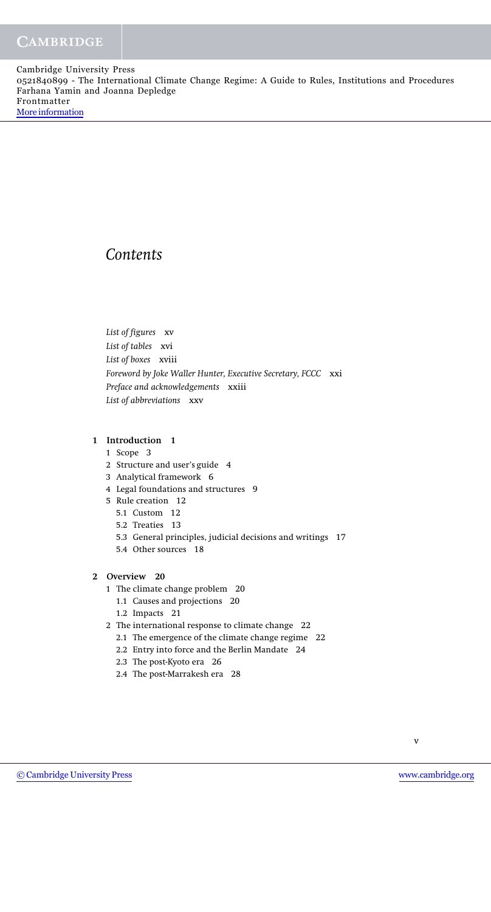## *Contents*

*List of figures* xv *List of tables* xvi *List of boxes* xviii *Foreword by Joke Waller Hunter, Executive Secretary, FCCC* xxi *Preface and acknowledgements* xxiii *List of abbreviations* xxv

### **1 Introduction 1**

- 1 Scope 3
- 2 Structure and user's guide 4
- 3 Analytical framework 6
- 4 Legal foundations and structures 9
- 5 Rule creation 12
	- 5.1 Custom 12
	- 5.2 Treaties 13
	- 5.3 General principles, judicial decisions and writings 17
	- 5.4 Other sources 18

### **2 Overview 20**

- 1 The climate change problem 20
	- 1.1 Causes and projections 20
	- 1.2 Impacts 21
- 2 The international response to climate change 22
	- 2.1 The emergence of the climate change regime 22
	- 2.2 Entry into force and the Berlin Mandate 24
	- 2.3 The post-Kyoto era 26
	- 2.4 The post-Marrakesh era 28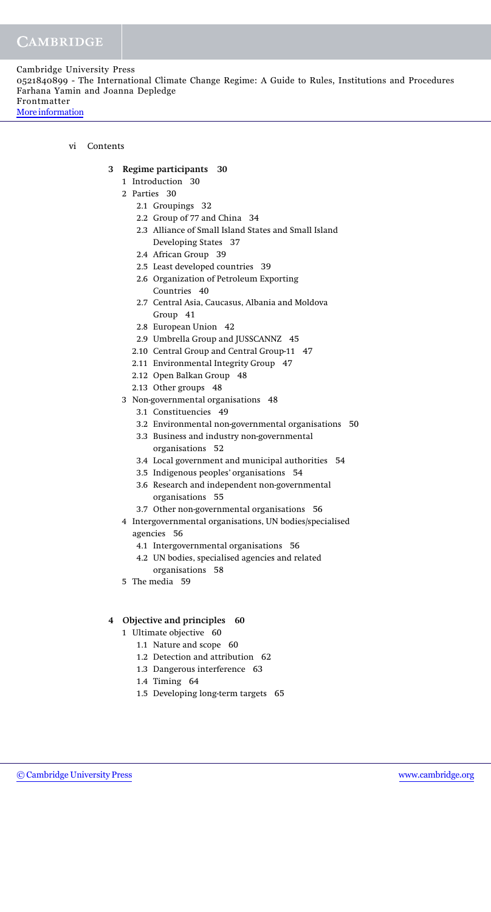vi Contents

#### **3 Regime participants 30**

- 1 Introduction 30
- 2 Parties 30
	- 2.1 Groupings 32
	- 2.2 Group of 77 and China 34
	- 2.3 Alliance of Small Island States and Small Island Developing States 37
	- 2.4 African Group 39
	- 2.5 Least developed countries 39
	- 2.6 Organization of Petroleum Exporting Countries 40
	- 2.7 Central Asia, Caucasus, Albania and Moldova Group 41
	- 2.8 European Union 42
	- 2.9 Umbrella Group and JUSSCANNZ 45
	- 2.10 Central Group and Central Group-11 47
	- 2.11 Environmental Integrity Group 47
	- 2.12 Open Balkan Group 48
	- 2.13 Other groups 48
- 3 Non-governmental organisations 48
	- 3.1 Constituencies 49
	- 3.2 Environmental non-governmental organisations 50
	- 3.3 Business and industry non-governmental organisations 52
	- 3.4 Local government and municipal authorities 54
	- 3.5 Indigenous peoples' organisations 54
	- 3.6 Research and independent non-governmental organisations 55
	- 3.7 Other non-governmental organisations 56
- 4 Intergovernmental organisations, UN bodies/specialised agencies 56
	- 4.1 Intergovernmental organisations 56
	- 4.2 UN bodies, specialised agencies and related organisations 58
- 5 The media 59

### **4 Objective and principles 60**

- 1 Ultimate objective 60
	- 1.1 Nature and scope 60
	- 1.2 Detection and attribution 62
	- 1.3 Dangerous interference 63
	- 1.4 Timing 64
	- 1.5 Developing long-term targets 65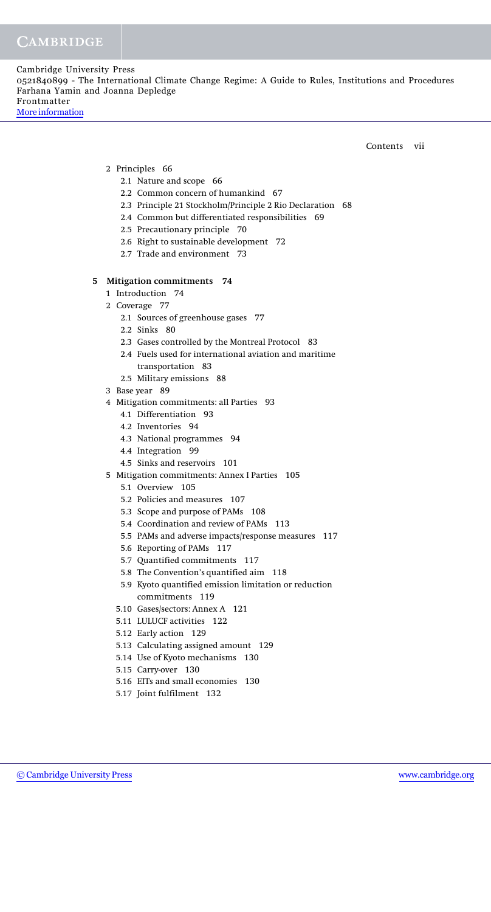Contents vii

### 2 Principles 66

- 2.1 Nature and scope 66
- 2.2 Common concern of humankind 67
- 2.3 Principle 21 Stockholm/Principle 2 Rio Declaration 68
- 2.4 Common but differentiated responsibilities 69
- 2.5 Precautionary principle 70
- 2.6 Right to sustainable development 72
- 2.7 Trade and environment 73

#### **5Mitigation commitments 74**

- 1 Introduction 74
- 2 Coverage 77
	- 2.1 Sources of greenhouse gases 77
	- 2.2 Sinks 80
	- 2.3 Gases controlled by the Montreal Protocol 83
	- 2.4 Fuels used for international aviation and maritime transportation 83
	- 2.5 Military emissions 88
- 3 Base year 89
- 4 Mitigation commitments: all Parties 93
	- 4.1 Differentiation 93
	- 4.2 Inventories 94
	- 4.3 National programmes 94
	- 4.4 Integration 99
	- 4.5 Sinks and reservoirs 101
- 5 Mitigation commitments: Annex I Parties 105
	- 5.1 Overview 105
	- 5.2 Policies and measures 107
	- 5.3 Scope and purpose of PAMs 108
	- 5.4 Coordination and review of PAMs 113
	- 5.5 PAMs and adverse impacts/response measures 117
	- 5.6 Reporting of PAMs 117
	- 5.7 Quantified commitments 117
	- 5.8 The Convention's quantified aim 118
	- 5.9 Kyoto quantified emission limitation or reduction commitments 119
	- 5.10 Gases/sectors: Annex A 121
	- 5.11 LULUCF activities 122
	- 5.12 Early action 129
	- 5.13 Calculating assigned amount 129
	- 5.14 Use of Kyoto mechanisms 130
	- 5.15 Carry-over 130
	- 5.16 EITs and small economies 130
	- 5.17 Joint fulfilment 132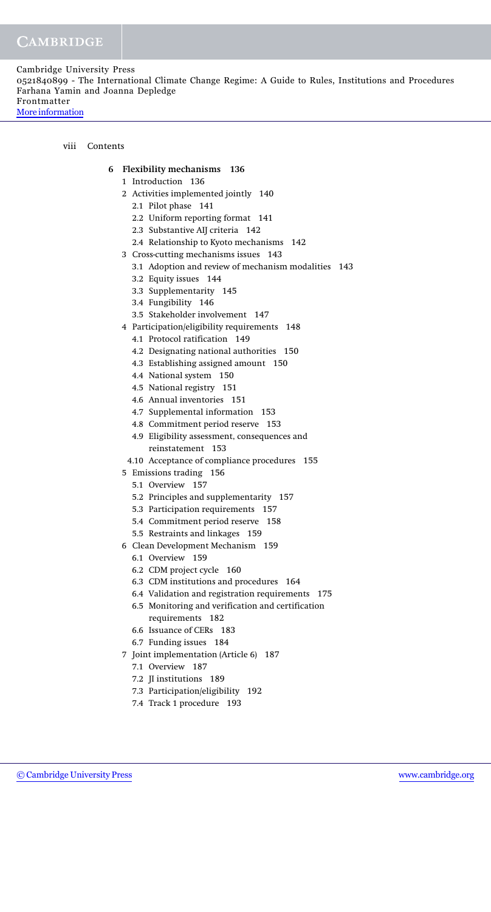viii Contents

#### **6 Flexibility mechanisms 136**

- 1 Introduction 136
- 2 Activities implemented jointly 140
	- 2.1 Pilot phase 141
	- 2.2 Uniform reporting format 141
	- 2.3 Substantive AIJ criteria 142
	- 2.4 Relationship to Kyoto mechanisms 142
- 3 Cross-cutting mechanisms issues 143
	- 3.1 Adoption and review of mechanism modalities 143
	- 3.2 Equity issues 144
	- 3.3 Supplementarity 145
	- 3.4 Fungibility 146
	- 3.5 Stakeholder involvement 147
- 4 Participation/eligibility requirements 148
	- 4.1 Protocol ratification 149
	- 4.2 Designating national authorities 150
	- 4.3 Establishing assigned amount 150
	- 4.4 National system 150
	- 4.5 National registry 151
	- 4.6 Annual inventories 151
	- 4.7 Supplemental information 153
	- 4.8 Commitment period reserve 153
	- 4.9 Eligibility assessment, consequences and reinstatement 153
	- 4.10 Acceptance of compliance procedures 155
- 5 Emissions trading 156
	- 5.1 Overview 157
	- 5.2 Principles and supplementarity 157
	- 5.3 Participation requirements 157
	- 5.4 Commitment period reserve 158
	- 5.5 Restraints and linkages 159
- 6 Clean Development Mechanism 159
	- 6.1 Overview 159
	- 6.2 CDM project cycle 160
	- 6.3 CDM institutions and procedures 164
	- 6.4 Validation and registration requirements 175
	- 6.5 Monitoring and verification and certification requirements 182
	- 6.6 Issuance of CERs 183
	- 6.7 Funding issues 184
- 7 Joint implementation (Article 6) 187
	- 7.1 Overview 187
	- 7.2 JI institutions 189
	- 7.3 Participation/eligibility 192
	- 7.4 Track 1 procedure 193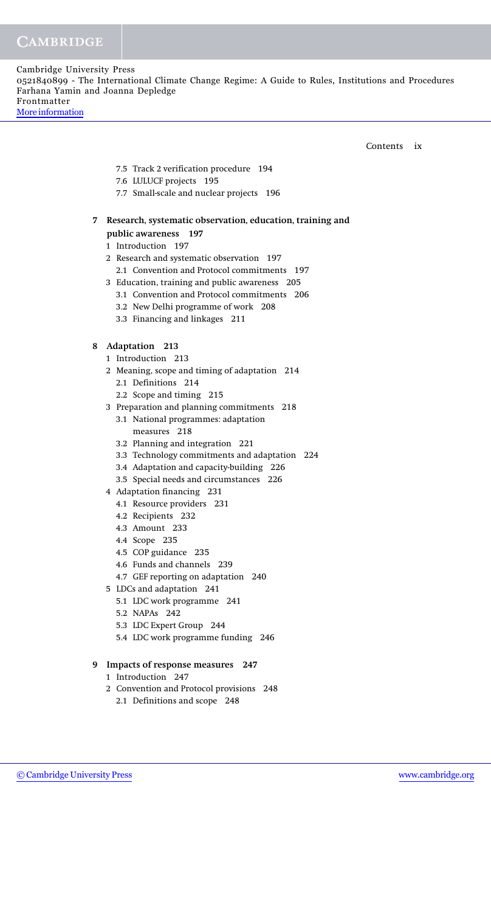Contents ix

- 7.5 Track 2 verification procedure 194
- 7.6 LULUCF projects 195
- 7.7 Small-scale and nuclear projects 196
- **7 Research, systematic observation, education, training and public awareness 197**
	- 1 Introduction 197
	- 2 Research and systematic observation 197
		- 2.1 Convention and Protocol commitments 197
	- 3 Education, training and public awareness 205
		- 3.1 Convention and Protocol commitments 206
		- 3.2 New Delhi programme of work 208
		- 3.3 Financing and linkages 211

## **8 Adaptation 213**

- 1 Introduction 213
- 2 Meaning, scope and timing of adaptation 214
	- 2.1 Definitions 214
	- 2.2 Scope and timing 215
- 3 Preparation and planning commitments 218
	- 3.1 National programmes: adaptation measures 218
	- 3.2 Planning and integration 221
	- 3.3 Technology commitments and adaptation 224
	- 3.4 Adaptation and capacity-building 226
	- 3.5 Special needs and circumstances 226
- 4 Adaptation financing 231
	- 4.1 Resource providers 231
	- 4.2 Recipients 232
	- 4.3 Amount 233
	- 4.4 Scope 235
	- 4.5 COP guidance 235
	- 4.6 Funds and channels 239
	- 4.7 GEF reporting on adaptation 240
- 5 LDCs and adaptation 241
	- 5.1 LDC work programme 241
	- 5.2 NAPAs 242
	- 5.3 LDC Expert Group 244
	- 5.4 LDC work programme funding 246

## **9 Impacts of response measures 247**

- 1 Introduction 247
- 2 Convention and Protocol provisions 248
	- 2.1 Definitions and scope 248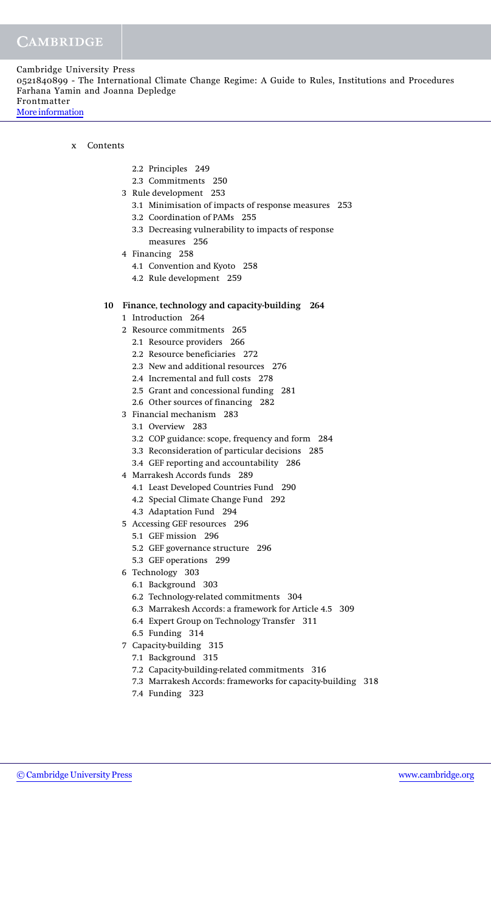- x Contents
- 2.2 Principles 249
- 2.3 Commitments 250
- 3 Rule development 253
	- 3.1 Minimisation of impacts of response measures 253
	- 3.2 Coordination of PAMs 255
	- 3.3 Decreasing vulnerability to impacts of response measures 256
- 4 Financing 258
	- 4.1 Convention and Kyoto 258
	- 4.2 Rule development 259

#### **10 Finance, technology and capacity-building 264**

- 1 Introduction 264
- 2 Resource commitments 265
	- 2.1 Resource providers 266
	- 2.2 Resource beneficiaries 272
	- 2.3 New and additional resources 276
	- 2.4 Incremental and full costs 278
	- 2.5 Grant and concessional funding 281
	- 2.6 Other sources of financing 282
- 3 Financial mechanism 283
	- 3.1 Overview 283
	- 3.2 COP guidance: scope, frequency and form 284
	- 3.3 Reconsideration of particular decisions 285
	- 3.4 GEF reporting and accountability 286
- 4 Marrakesh Accords funds 289
	- 4.1 Least Developed Countries Fund 290
	- 4.2 Special Climate Change Fund 292
	- 4.3 Adaptation Fund 294
- 5 Accessing GEF resources 296
	- 5.1 GEF mission 296
	- 5.2 GEF governance structure 296
	- 5.3 GEF operations 299
- 6 Technology 303
	- 6.1 Background 303
	- 6.2 Technology-related commitments 304
	- 6.3 Marrakesh Accords: a framework for Article 4.5 309
	- 6.4 Expert Group on Technology Transfer 311
	- 6.5 Funding 314
- 7 Capacity-building 315
	- 7.1 Background 315
	- 7.2 Capacity-building-related commitments 316
	- 7.3 Marrakesh Accords: frameworks for capacity-building 318
	- 7.4 Funding 323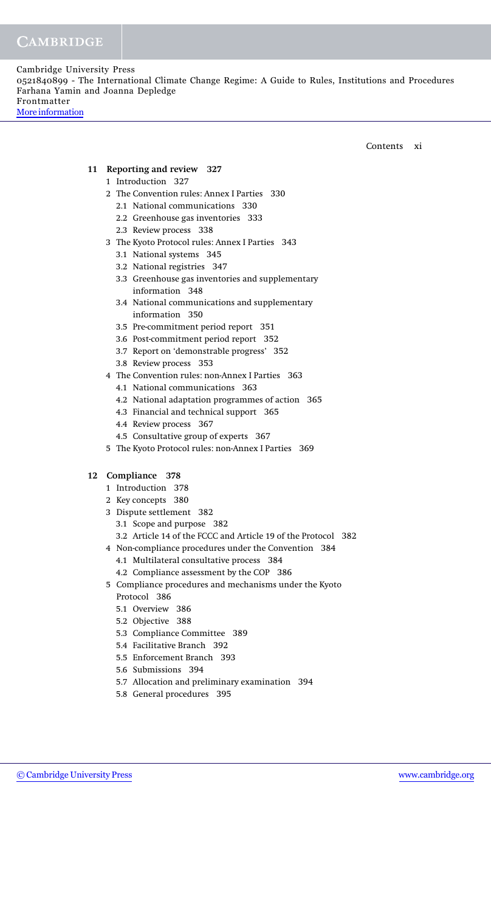Contents xi

### **11 Reporting and review 327**

- 1 Introduction 327
- 2 The Convention rules: Annex I Parties 330
	- 2.1 National communications 330
	- 2.2 Greenhouse gas inventories 333
	- 2.3 Review process 338
- 3 The Kyoto Protocol rules: Annex I Parties 343
	- 3.1 National systems 345
	- 3.2 National registries 347
	- 3.3 Greenhouse gas inventories and supplementary information 348
	- 3.4 National communications and supplementary information 350
	- 3.5 Pre-commitment period report 351
	- 3.6 Post-commitment period report 352
	- 3.7 Report on 'demonstrable progress' 352
	- 3.8 Review process 353
- 4 The Convention rules: non-Annex I Parties 363
	- 4.1 National communications 363
	- 4.2 National adaptation programmes of action 365
	- 4.3 Financial and technical support 365
	- 4.4 Review process 367
	- 4.5 Consultative group of experts 367
- 5 The Kyoto Protocol rules: non-Annex I Parties 369

## **12 Compliance 378**

- 1 Introduction 378
- 2 Key concepts 380
- 3 Dispute settlement 382
	- 3.1 Scope and purpose 382
	- 3.2 Article 14 of the FCCC and Article 19 of the Protocol 382
- 4 Non-compliance procedures under the Convention 384
	- 4.1 Multilateral consultative process 384
	- 4.2 Compliance assessment by the COP 386
- 5 Compliance procedures and mechanisms under the Kyoto Protocol 386
	- 5.1 Overview 386
	- 5.2 Objective 388
	- 5.3 Compliance Committee 389
	- 5.4 Facilitative Branch 392
	- 5.5 Enforcement Branch 393
	- 5.6 Submissions 394
	- 5.7 Allocation and preliminary examination 394
	- 5.8 General procedures 395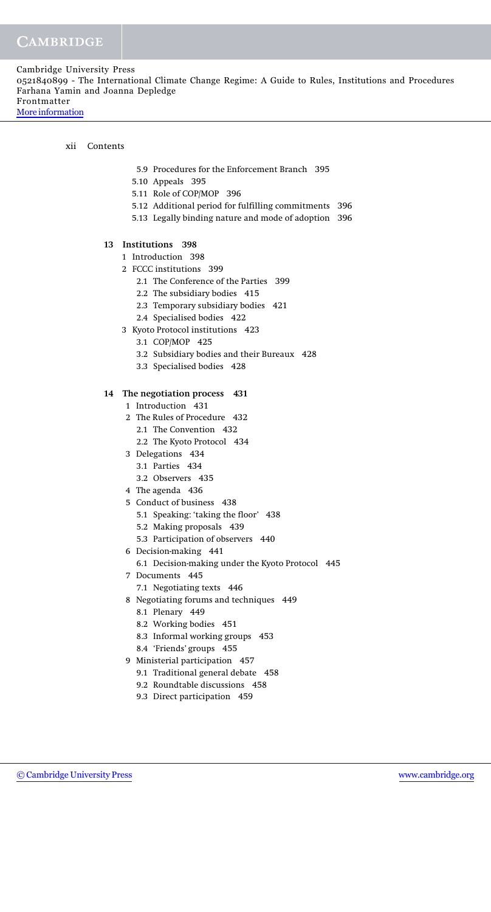xii Contents

- 5.9 Procedures for the Enforcement Branch 395
- 5.10 Appeals 395
- 5.11 Role of COP/MOP 396
- 5.12 Additional period for fulfilling commitments 396
- 5.13 Legally binding nature and mode of adoption 396

#### **13 Institutions 398**

- 1 Introduction 398
- 2 FCCC institutions 399
	- 2.1 The Conference of the Parties 399
	- 2.2 The subsidiary bodies 415
	- 2.3 Temporary subsidiary bodies 421
	- 2.4 Specialised bodies 422
- 3 Kyoto Protocol institutions 423
	- 3.1 COP/MOP 425
	- 3.2 Subsidiary bodies and their Bureaux 428
	- 3.3 Specialised bodies 428

#### **14 The negotiation process 431**

- 1 Introduction 431
- 2 The Rules of Procedure 432
	- 2.1 The Convention 432
	- 2.2 The Kyoto Protocol 434
- 3 Delegations 434
	- 3.1 Parties 434
	- 3.2 Observers 435
- 4 The agenda 436
- 5 Conduct of business 438
	- 5.1 Speaking: 'taking the floor' 438
	- 5.2 Making proposals 439
	- 5.3 Participation of observers 440
- 6 Decision-making 441
	- 6.1 Decision-making under the Kyoto Protocol 445
- 7 Documents 445
	- 7.1 Negotiating texts 446
- 8 Negotiating forums and techniques 449
	- 8.1 Plenary 449
	- 8.2 Working bodies 451
	- 8.3 Informal working groups 453
	- 8.4 'Friends' groups 455
- 9 Ministerial participation 457
	- 9.1 Traditional general debate 458
	- 9.2 Roundtable discussions 458
	- 9.3 Direct participation 459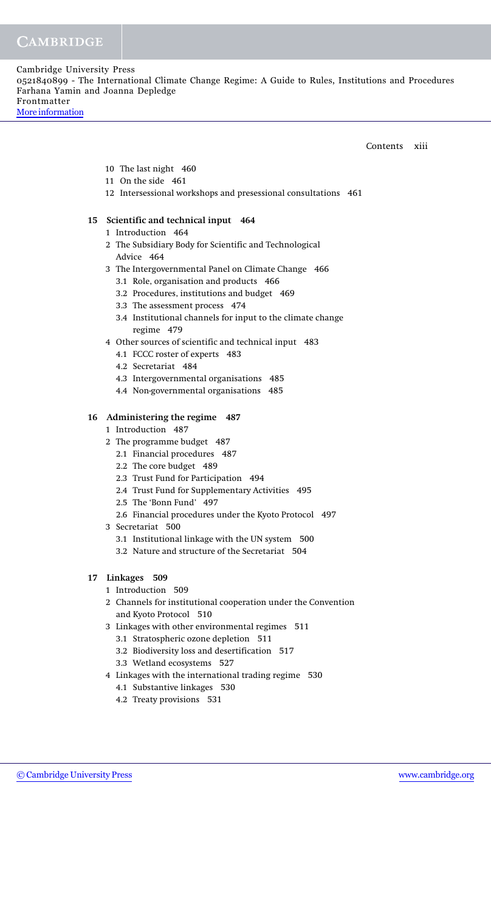Contents xiii

- 10 The last night 460
- 11 On the side 461
- 12 Intersessional workshops and presessional consultations 461

### 15 Scientific and technical input 464

- 1 Introduction 464
- 2 The Subsidiary Body for Scientific and Technological Advice 464
- 3 The Intergovernmental Panel on Climate Change 466
	- 3.1 Role, organisation and products 466
	- 3.2 Procedures, institutions and budget 469
	- 3.3 The assessment process 474
	- 3.4 Institutional channels for input to the climate change regime 479
- 4 Other sources of scientific and technical input 483
	- 4.1 FCCC roster of experts 483
	- 4.2 Secretariat 484
	- 4.3 Intergovernmental organisations 485
	- 4.4 Non-governmental organisations 485

## **16 Administering the regime 487**

- 1 Introduction 487
- 2 The programme budget 487
	- 2.1 Financial procedures 487
	- 2.2 The core budget 489
	- 2.3 Trust Fund for Participation 494
	- 2.4 Trust Fund for Supplementary Activities 495
	- 2.5 The 'Bonn Fund' 497
	- 2.6 Financial procedures under the Kyoto Protocol 497
- 3 Secretariat 500
	- 3.1 Institutional linkage with the UN system 500
	- 3.2 Nature and structure of the Secretariat 504

## **17 Linkages 509**

- 1 Introduction 509
- 2 Channels for institutional cooperation under the Convention and Kyoto Protocol 510
- 3 Linkages with other environmental regimes 511
	- 3.1 Stratospheric ozone depletion 511
	- 3.2 Biodiversity loss and desertification 517
	- 3.3 Wetland ecosystems 527
- 4 Linkages with the international trading regime 530
	- 4.1 Substantive linkages 530
	- 4.2 Treaty provisions 531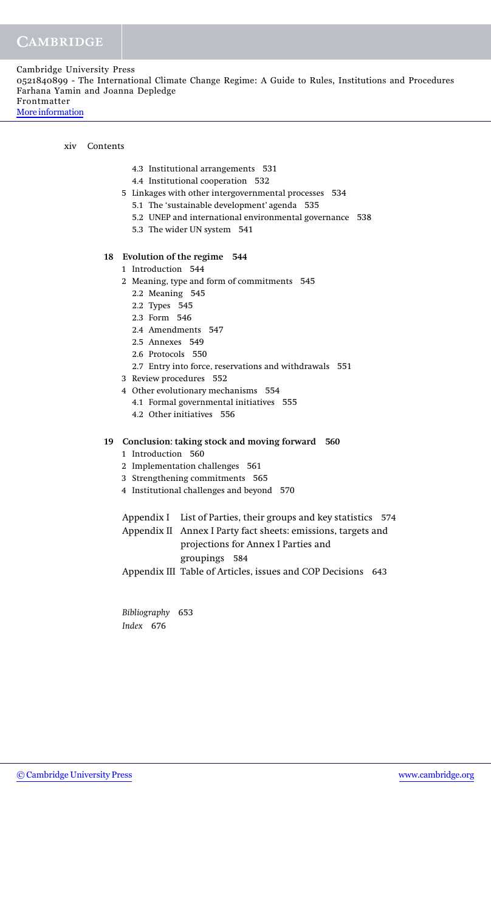#### xiv Contents

- 4.3 Institutional arrangements 531
- 4.4 Institutional cooperation 532
- 5 Linkages with other intergovernmental processes 534
	- 5.1 The 'sustainable development' agenda 535
	- 5.2 UNEP and international environmental governance 538
	- 5.3 The wider UN system 541

#### **18 Evolution of the regime 544**

- 1 Introduction 544
- 2 Meaning, type and form of commitments 545
	- 2.2 Meaning 545
	- 2.2 Types 545
	- 2.3 Form 546
	- 2.4 Amendments 547
	- 2.5 Annexes 549
	- 2.6 Protocols 550
	- 2.7 Entry into force, reservations and withdrawals 551
- 3 Review procedures 552
- 4 Other evolutionary mechanisms 554
	- 4.1 Formal governmental initiatives 555
	- 4.2 Other initiatives 556

#### **19 Conclusion: taking stock and moving forward 560**

- 1 Introduction 560
- 2 Implementation challenges 561
- 3 Strengthening commitments 565
- 4 Institutional challenges and beyond 570

Appendix I List of Parties, their groups and key statistics 574 Appendix II Annex I Party fact sheets: emissions, targets and projections for Annex I Parties and groupings 584 Appendix III Table of Articles, issues and COP Decisions 643

*Bibliography* 653 *Index* 676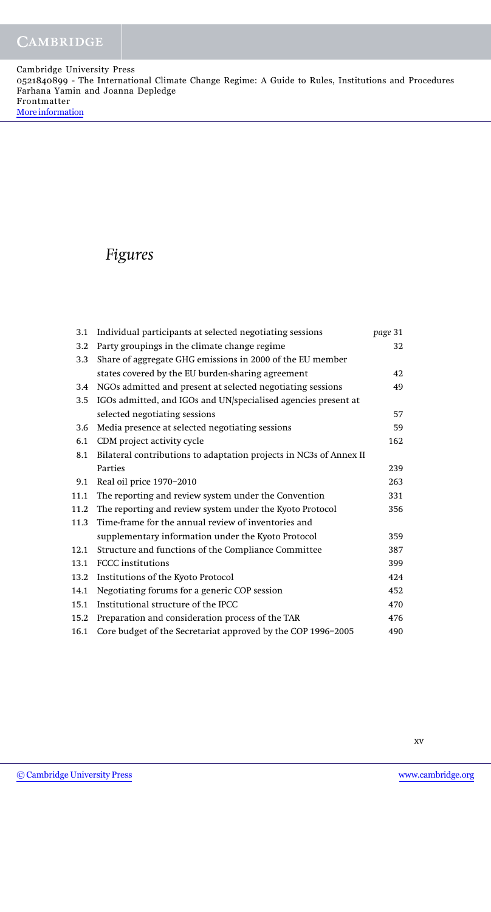## *Figures*

| Individual participants at selected negotiating sessions           | page 31 |
|--------------------------------------------------------------------|---------|
| Party groupings in the climate change regime                       | 32      |
| Share of aggregate GHG emissions in 2000 of the EU member          |         |
| states covered by the EU burden-sharing agreement                  | 42      |
| NGOs admitted and present at selected negotiating sessions         | 49      |
| IGOs admitted, and IGOs and UN/specialised agencies present at     |         |
| selected negotiating sessions                                      | 57      |
| Media presence at selected negotiating sessions                    | 59      |
| CDM project activity cycle                                         | 162     |
| Bilateral contributions to adaptation projects in NC3s of Annex II |         |
| Parties                                                            | 239     |
| Real oil price 1970-2010                                           | 263     |
| The reporting and review system under the Convention               | 331     |
| The reporting and review system under the Kyoto Protocol           | 356     |
| Time-frame for the annual review of inventories and                |         |
| supplementary information under the Kyoto Protocol                 | 359     |
| Structure and functions of the Compliance Committee                | 387     |
| <b>FCCC</b> institutions                                           | 399     |
| Institutions of the Kyoto Protocol                                 | 424     |
| Negotiating forums for a generic COP session                       | 452     |
| Institutional structure of the IPCC                                | 470     |
| Preparation and consideration process of the TAR                   | 476     |
| Core budget of the Secretariat approved by the COP 1996-2005       | 490     |
|                                                                    |         |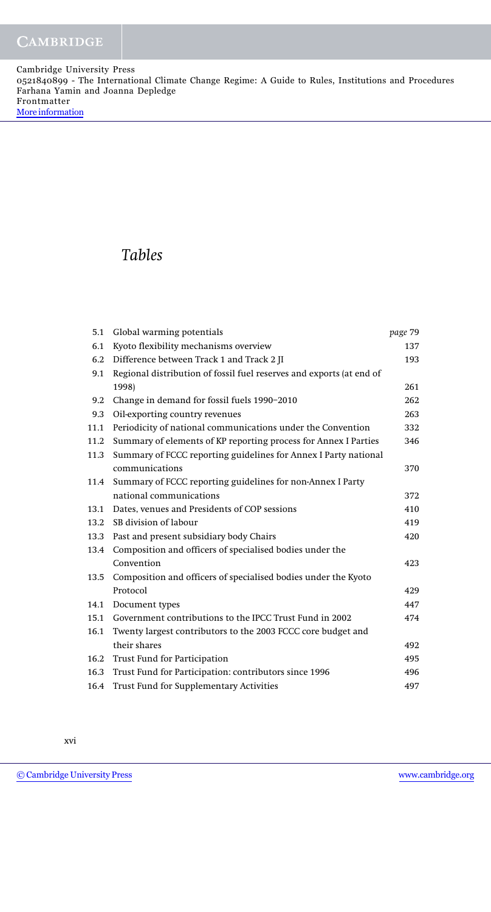## *Tables*

| 5.1  | Global warming potentials                                            | page 79 |
|------|----------------------------------------------------------------------|---------|
| 6.1  | Kyoto flexibility mechanisms overview                                | 137     |
| 6.2  | Difference between Track 1 and Track 2 JI                            | 193     |
| 9.1  | Regional distribution of fossil fuel reserves and exports (at end of |         |
|      | 1998)                                                                | 261     |
| 9.2  | Change in demand for fossil fuels 1990-2010                          | 262     |
| 9.3  | Oil-exporting country revenues                                       | 263     |
| 11.1 | Periodicity of national communications under the Convention          | 332     |
| 11.2 | Summary of elements of KP reporting process for Annex I Parties      | 346     |
| 11.3 | Summary of FCCC reporting guidelines for Annex I Party national      |         |
|      | communications                                                       | 370     |
| 11.4 | Summary of FCCC reporting guidelines for non-Annex I Party           |         |
|      | national communications                                              | 372     |
| 13.1 | Dates, venues and Presidents of COP sessions                         | 410     |
| 13.2 | SB division of labour                                                | 419     |
| 13.3 | Past and present subsidiary body Chairs                              | 420     |
| 13.4 | Composition and officers of specialised bodies under the             |         |
|      | Convention                                                           | 423     |
| 13.5 | Composition and officers of specialised bodies under the Kyoto       |         |
|      | Protocol                                                             | 429     |
| 14.1 | Document types                                                       | 447     |
| 15.1 | Government contributions to the IPCC Trust Fund in 2002              | 474     |
| 16.1 | Twenty largest contributors to the 2003 FCCC core budget and         |         |
|      | their shares                                                         | 492     |
| 16.2 | <b>Trust Fund for Participation</b>                                  | 495     |
| 16.3 | Trust Fund for Participation: contributors since 1996                | 496     |
| 16.4 | Trust Fund for Supplementary Activities                              | 497     |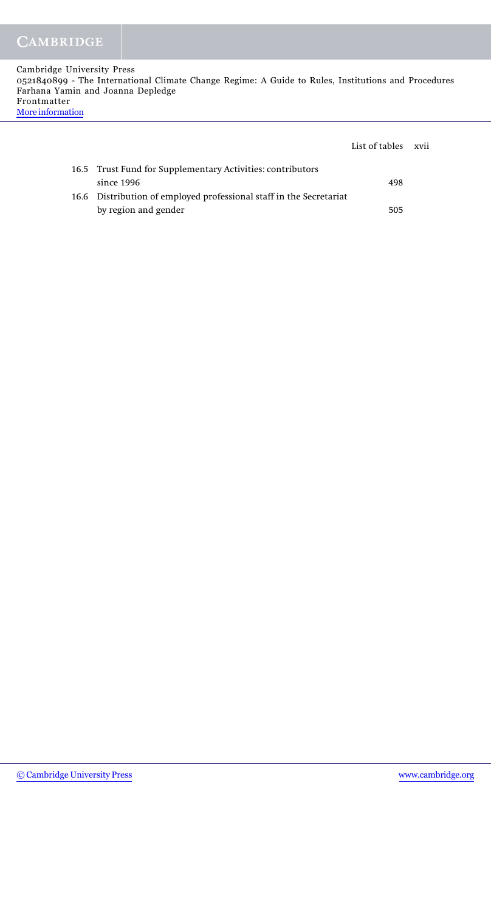|                                                                     | List of tables | xvii |
|---------------------------------------------------------------------|----------------|------|
| 16.5 Trust Fund for Supplementary Activities: contributors          |                |      |
| since 1996                                                          | 498            |      |
| 16.6 Distribution of employed professional staff in the Secretariat |                |      |
| by region and gender                                                | 505            |      |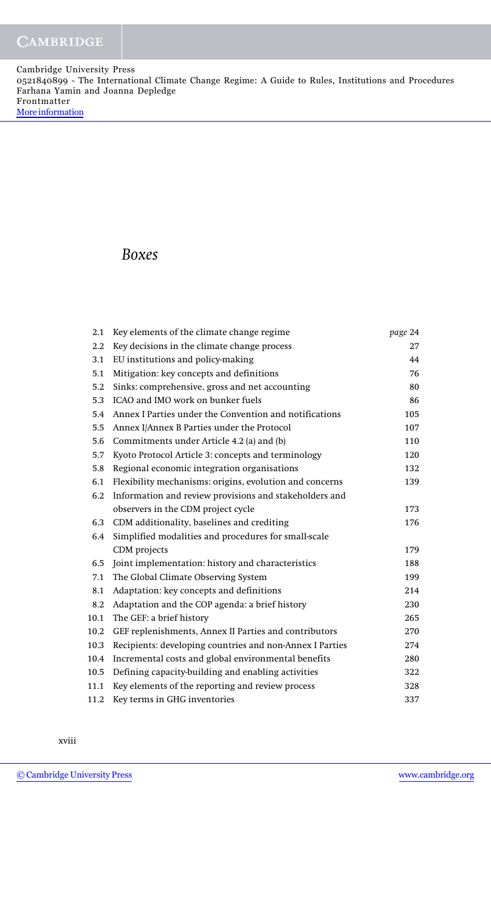## *Boxes*

| 2.1              | Key elements of the climate change regime                | page 24 |
|------------------|----------------------------------------------------------|---------|
| $2.2\phantom{0}$ | Key decisions in the climate change process              | 27      |
| 3.1              | EU institutions and policy-making                        | 44      |
| 5.1              | Mitigation: key concepts and definitions                 | 76      |
| 5.2              | Sinks: comprehensive, gross and net accounting           | 80      |
| 5.3              | ICAO and IMO work on bunker fuels                        | 86      |
| 5.4              | Annex I Parties under the Convention and notifications   | 105     |
| 5.5              | Annex I/Annex B Parties under the Protocol               | 107     |
| 5.6              | Commitments under Article 4.2 (a) and (b)                | 110     |
| 5.7              | Kyoto Protocol Article 3: concepts and terminology       | 120     |
| 5.8              | Regional economic integration organisations              | 132     |
| 6.1              | Flexibility mechanisms: origins, evolution and concerns  | 139     |
| 6.2              | Information and review provisions and stakeholders and   |         |
|                  | observers in the CDM project cycle                       | 173     |
| 6.3              | CDM additionality, baselines and crediting               | 176     |
| 6.4              | Simplified modalities and procedures for small-scale     |         |
|                  | CDM projects                                             | 179     |
| 6.5              | Joint implementation: history and characteristics        | 188     |
| 7.1              | The Global Climate Observing System                      | 199     |
| 8.1              | Adaptation: key concepts and definitions                 | 214     |
| 8.2              | Adaptation and the COP agenda: a brief history           | 230     |
| 10.1             | The GEF: a brief history                                 | 265     |
| 10.2             | GEF replenishments, Annex II Parties and contributors    | 270     |
| 10.3             | Recipients: developing countries and non-Annex I Parties | 274     |
| 10.4             | Incremental costs and global environmental benefits      | 280     |
| 10.5             | Defining capacity-building and enabling activities       | 322     |
| 11.1             | Key elements of the reporting and review process         | 328     |
| 11.2             | Key terms in GHG inventories                             | 337     |

xviii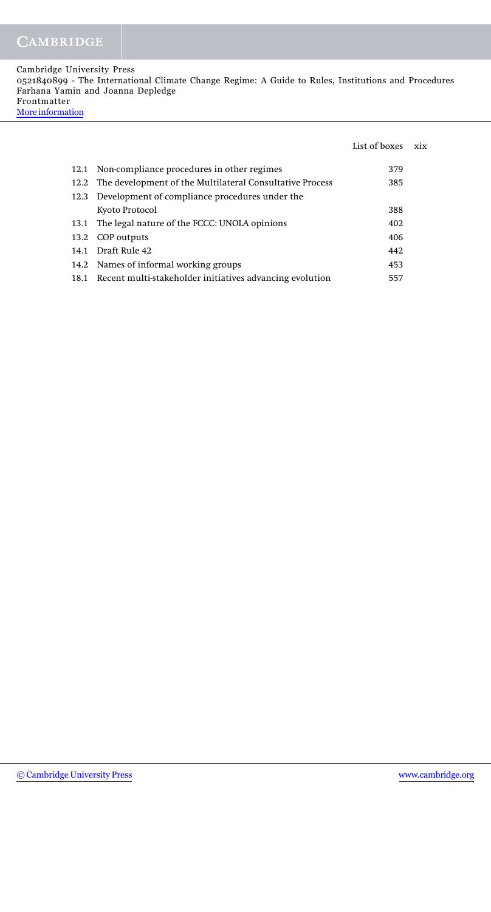Cambridge University Press

0521840899 - The International Climate Change Regime: A Guide to Rules, Institutions and Procedures Farhana Yamin and Joanna Depledge Frontmatter

[More information](http://www.cambridge.org/0521840899)

|      |                                                               | List of boxes | xix |
|------|---------------------------------------------------------------|---------------|-----|
|      | 12.1 Non-compliance procedures in other regimes               | 379           |     |
|      | 12.2 The development of the Multilateral Consultative Process | 385           |     |
|      | 12.3 Development of compliance procedures under the           |               |     |
|      | Kyoto Protocol                                                | 388           |     |
|      | 13.1 The legal nature of the FCCC: UNOLA opinions             | 402           |     |
| 13.2 | COP outputs                                                   | 406           |     |
|      | 14.1 Draft Rule 42                                            | 442           |     |
|      | 14.2 Names of informal working groups                         | 453           |     |
|      | 18.1 Recent multi-stakeholder initiatives advancing evolution | 557           |     |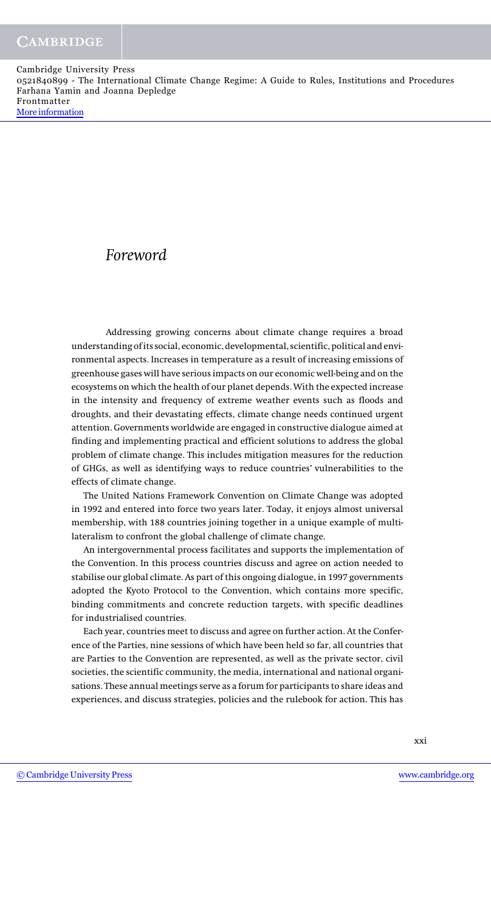## *Foreword*

Addressing growing concerns about climate change requires a broad understanding of its social, economic, developmental, scientific, political and environmental aspects. Increases in temperature as a result of increasing emissions of greenhouse gases will have serious impacts on our economic well-being and on the ecosystems on which the health of our planet depends. With the expected increase in the intensity and frequency of extreme weather events such as floods and droughts, and their devastating effects, climate change needs continued urgent attention. Governments worldwide are engaged in constructive dialogue aimed at finding and implementing practical and efficient solutions to address the global problem of climate change. This includes mitigation measures for the reduction of GHGs, as well as identifying ways to reduce countries' vulnerabilities to the effects of climate change.

The United Nations Framework Convention on Climate Change was adopted in 1992 and entered into force two years later. Today, it enjoys almost universal membership, with 188 countries joining together in a unique example of multilateralism to confront the global challenge of climate change.

An intergovernmental process facilitates and supports the implementation of the Convention. In this process countries discuss and agree on action needed to stabilise our global climate. As part of this ongoing dialogue, in 1997 governments adopted the Kyoto Protocol to the Convention, which contains more specific, binding commitments and concrete reduction targets, with specific deadlines for industrialised countries.

Each year, countries meet to discuss and agree on further action. At the Conference of the Parties, nine sessions of which have been held so far, all countries that are Parties to the Convention are represented, as well as the private sector, civil societies, the scientific community, the media, international and national organisations. These annual meetings serve as a forum for participants to share ideas and experiences, and discuss strategies, policies and the rulebook for action. This has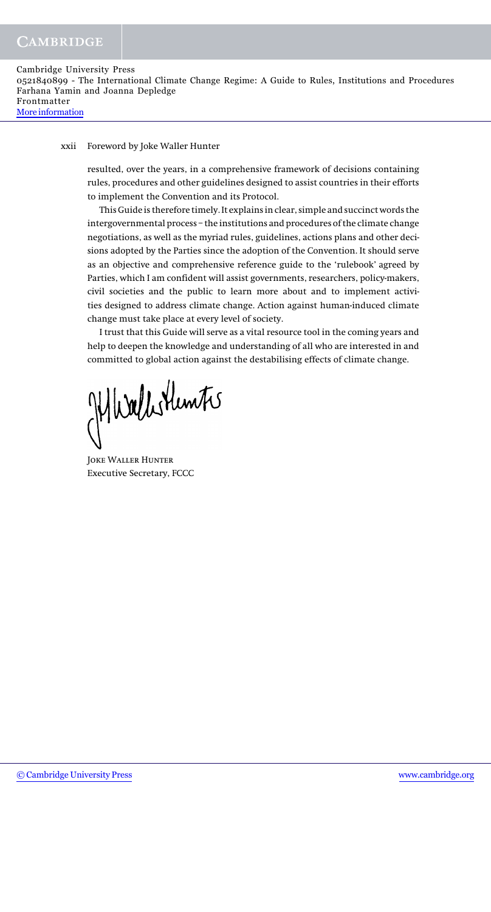xxii Foreword by Joke Waller Hunter

resulted, over the years, in a comprehensive framework of decisions containing rules, procedures and other guidelines designed to assist countries in their efforts to implement the Convention and its Protocol.

This Guide is therefore timely. It explains in clear, simple and succinct words the intergovernmental process – the institutions and procedures of the climate change negotiations, as well as the myriad rules, guidelines, actions plans and other decisions adopted by the Parties since the adoption of the Convention. It should serve as an objective and comprehensive reference guide to the 'rulebook' agreed by Parties, which I am confident will assist governments, researchers, policy-makers, civil societies and the public to learn more about and to implement activities designed to address climate change. Action against human-induced climate change must take place at every level of society.

I trust that this Guide will serve as a vital resource tool in the coming years and help to deepen the knowledge and understanding of all who are interested in and committed to global action against the destabilising effects of climate change.

Mirallistements

Joke Waller Hunter Executive Secretary, FCCC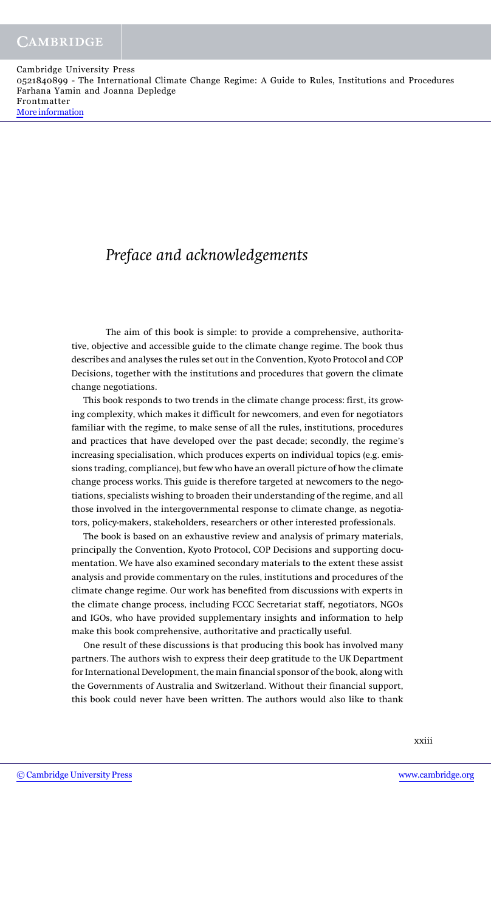## *Preface and acknowledgements*

The aim of this book is simple: to provide a comprehensive, authoritative, objective and accessible guide to the climate change regime. The book thus describes and analyses the rules set out in the Convention, Kyoto Protocol and COP Decisions, together with the institutions and procedures that govern the climate change negotiations.

This book responds to two trends in the climate change process: first, its growing complexity, which makes it difficult for newcomers, and even for negotiators familiar with the regime, to make sense of all the rules, institutions, procedures and practices that have developed over the past decade; secondly, the regime's increasing specialisation, which produces experts on individual topics (e.g. emissions trading, compliance), but few who have an overall picture of how the climate change process works. This guide is therefore targeted at newcomers to the negotiations, specialists wishing to broaden their understanding of the regime, and all those involved in the intergovernmental response to climate change, as negotiators, policy-makers, stakeholders, researchers or other interested professionals.

The book is based on an exhaustive review and analysis of primary materials, principally the Convention, Kyoto Protocol, COP Decisions and supporting documentation. We have also examined secondary materials to the extent these assist analysis and provide commentary on the rules, institutions and procedures of the climate change regime. Our work has benefited from discussions with experts in the climate change process, including FCCC Secretariat staff, negotiators, NGOs and IGOs, who have provided supplementary insights and information to help make this book comprehensive, authoritative and practically useful.

One result of these discussions is that producing this book has involved many partners. The authors wish to express their deep gratitude to the UK Department for International Development, the main financial sponsor of the book, along with the Governments of Australia and Switzerland. Without their financial support, this book could never have been written. The authors would also like to thank

xxiii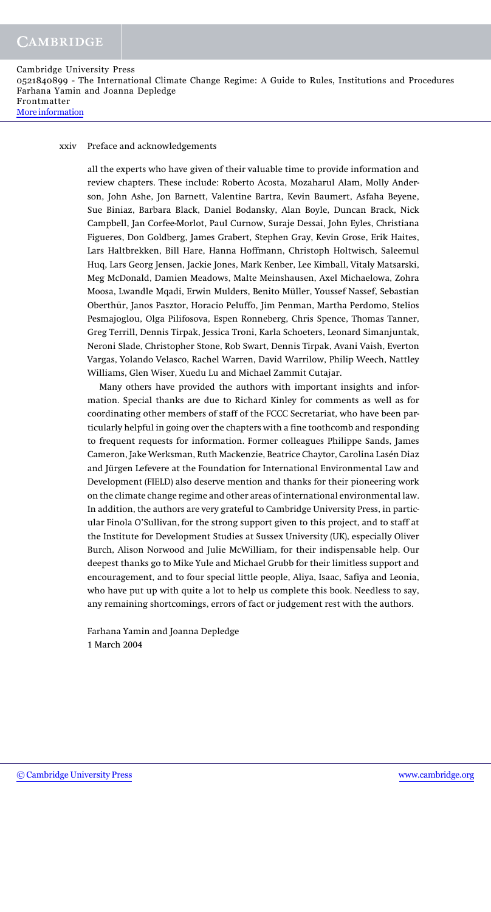## **CAMBRIDGE**

Cambridge University Press 0521840899 - The International Climate Change Regime: A Guide to Rules, Institutions and Procedures Farhana Yamin and Joanna Depledge Frontmatter [More information](http://www.cambridge.org/0521840899)

#### xxiv Preface and acknowledgements

all the experts who have given of their valuable time to provide information and review chapters. These include: Roberto Acosta, Mozaharul Alam, Molly Anderson, John Ashe, Jon Barnett, Valentine Bartra, Kevin Baumert, Asfaha Beyene, Sue Biniaz, Barbara Black, Daniel Bodansky, Alan Boyle, Duncan Brack, Nick Campbell, Jan Corfee-Morlot, Paul Curnow, Suraje Dessai, John Eyles, Christiana Figueres, Don Goldberg, James Grabert, Stephen Gray, Kevin Grose, Erik Haites, Lars Haltbrekken, Bill Hare, Hanna Hoffmann, Christoph Holtwisch, Saleemul Huq, Lars Georg Jensen, Jackie Jones, Mark Kenber, Lee Kimball, Vitaly Matsarski, Meg McDonald, Damien Meadows, Malte Meinshausen, Axel Michaelowa, Zohra Moosa, Lwandle Mqadi, Erwin Mulders, Benito Muller, Youssef Nassef, Sebastian ¨ Oberthur, Janos Pasztor, Horacio Peluffo, Jim Penman, Martha Perdomo, Stelios ¨ Pesmajoglou, Olga Pilifosova, Espen Ronneberg, Chris Spence, Thomas Tanner, Greg Terrill, Dennis Tirpak, Jessica Troni, Karla Schoeters, Leonard Simanjuntak, Neroni Slade, Christopher Stone, Rob Swart, Dennis Tirpak, Avani Vaish, Everton Vargas, Yolando Velasco, Rachel Warren, David Warrilow, Philip Weech, Nattley Williams, Glen Wiser, Xuedu Lu and Michael Zammit Cutajar.

Many others have provided the authors with important insights and information. Special thanks are due to Richard Kinley for comments as well as for coordinating other members of staff of the FCCC Secretariat, who have been particularly helpful in going over the chapters with a fine toothcomb and responding to frequent requests for information. Former colleagues Philippe Sands, James Cameron, Jake Werksman, Ruth Mackenzie, Beatrice Chaytor, Carolina Lasén Diaz and Jürgen Lefevere at the Foundation for International Environmental Law and Development (FIELD) also deserve mention and thanks for their pioneering work on the climate change regime and other areas of international environmental law. In addition, the authors are very grateful to Cambridge University Press, in particular Finola O'Sullivan, for the strong support given to this project, and to staff at the Institute for Development Studies at Sussex University (UK), especially Oliver Burch, Alison Norwood and Julie McWilliam, for their indispensable help. Our deepest thanks go to Mike Yule and Michael Grubb for their limitless support and encouragement, and to four special little people, Aliya, Isaac, Safiya and Leonia, who have put up with quite a lot to help us complete this book. Needless to say, any remaining shortcomings, errors of fact or judgement rest with the authors.

Farhana Yamin and Joanna Depledge 1 March 2004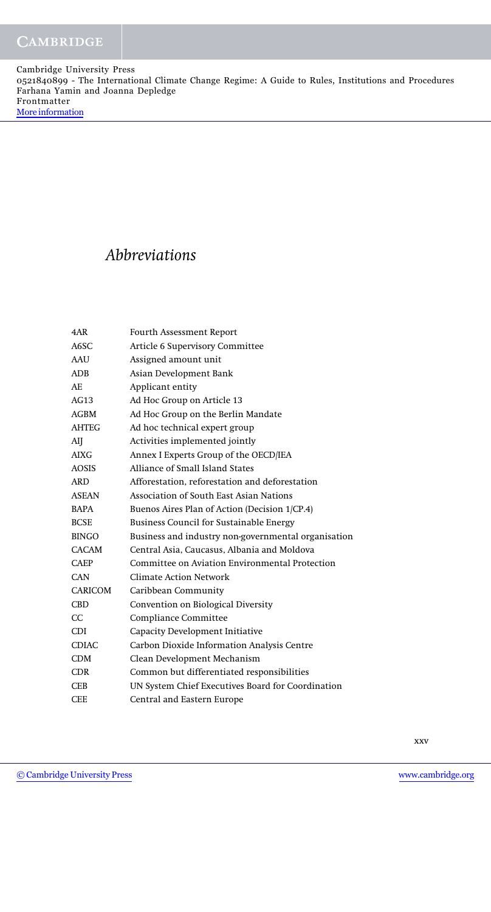## *Abbreviations*

| 4AR            | <b>Fourth Assessment Report</b>                     |
|----------------|-----------------------------------------------------|
| A6SC           | Article 6 Supervisory Committee                     |
| AAU            | Assigned amount unit                                |
| <b>ADB</b>     | Asian Development Bank                              |
| AE             | Applicant entity                                    |
| AG13           | Ad Hoc Group on Article 13                          |
| <b>AGBM</b>    | Ad Hoc Group on the Berlin Mandate                  |
| <b>AHTEG</b>   | Ad hoc technical expert group                       |
| AIJ            | Activities implemented jointly                      |
| <b>AIXG</b>    | Annex I Experts Group of the OECD/IEA               |
| AOSIS          | Alliance of Small Island States                     |
| ARD            | Afforestation, reforestation and deforestation      |
| <b>ASEAN</b>   | Association of South East Asian Nations             |
| <b>BAPA</b>    | Buenos Aires Plan of Action (Decision 1/CP.4)       |
| <b>BCSE</b>    | <b>Business Council for Sustainable Energy</b>      |
| <b>BINGO</b>   | Business and industry non-governmental organisation |
| <b>CACAM</b>   | Central Asia, Caucasus, Albania and Moldova         |
| <b>CAEP</b>    | Committee on Aviation Environmental Protection      |
| CAN            | Climate Action Network                              |
| <b>CARICOM</b> | Caribbean Community                                 |
| <b>CBD</b>     | Convention on Biological Diversity                  |
| CC             | Compliance Committee                                |
| <b>CDI</b>     | <b>Capacity Development Initiative</b>              |
| <b>CDIAC</b>   | Carbon Dioxide Information Analysis Centre          |
| <b>CDM</b>     | Clean Development Mechanism                         |
| <b>CDR</b>     | Common but differentiated responsibilities          |
| <b>CEB</b>     | UN System Chief Executives Board for Coordination   |
| <b>CEE</b>     | Central and Eastern Europe                          |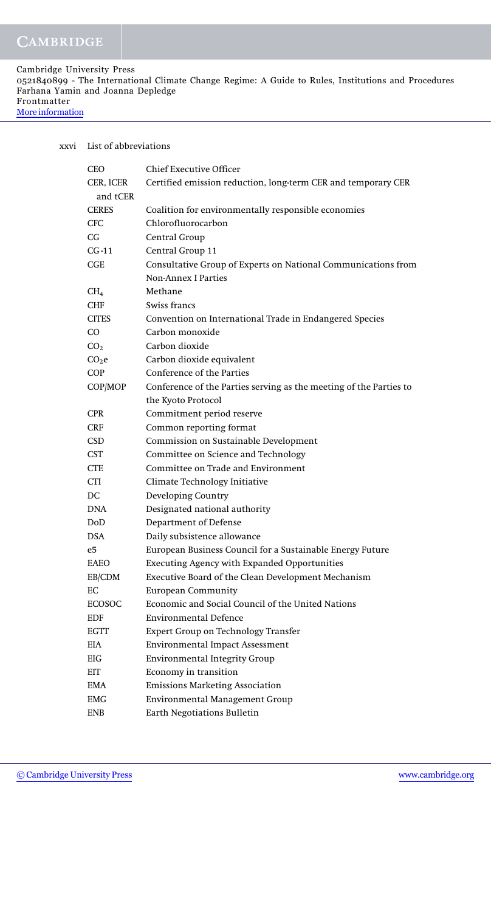## **CAMBRIDGE**

| Cambridge University Press                                                                          |
|-----------------------------------------------------------------------------------------------------|
| 0521840899 - The International Climate Change Regime: A Guide to Rules, Institutions and Procedures |
| Farhana Yamin and Joanna Depledge                                                                   |
| Frontmatter                                                                                         |
| More information                                                                                    |

| XXV1 |  | List of abbreviations |  |
|------|--|-----------------------|--|
|      |  |                       |  |

| CEO               | <b>Chief Executive Officer</b>                                     |
|-------------------|--------------------------------------------------------------------|
| CER, ICER         | Certified emission reduction, long-term CER and temporary CER      |
| and tCER          |                                                                    |
| <b>CERES</b>      | Coalition for environmentally responsible economies                |
| <b>CFC</b>        | Chlorofluorocarbon                                                 |
| CG.               | Central Group                                                      |
| $CG-11$           | Central Group 11                                                   |
| CGE               | Consultative Group of Experts on National Communications from      |
|                   | <b>Non-Annex I Parties</b>                                         |
| CH <sub>4</sub>   | Methane                                                            |
| <b>CHF</b>        | Swiss francs                                                       |
| <b>CITES</b>      | Convention on International Trade in Endangered Species            |
| CO.               | Carbon monoxide                                                    |
| CO <sub>2</sub>   | Carbon dioxide                                                     |
| CO <sub>2</sub> e | Carbon dioxide equivalent                                          |
| COP               | Conference of the Parties                                          |
| COP/MOP           | Conference of the Parties serving as the meeting of the Parties to |
|                   | the Kyoto Protocol                                                 |
| CPR.              | Commitment period reserve                                          |
| <b>CRF</b>        | Common reporting format                                            |
| <b>CSD</b>        | Commission on Sustainable Development                              |
| <b>CST</b>        | Committee on Science and Technology                                |
| <b>CTE</b>        | Committee on Trade and Environment                                 |
| <b>CTI</b>        | Climate Technology Initiative                                      |
| DC                | Developing Country                                                 |
| <b>DNA</b>        | Designated national authority                                      |
| DoD               | Department of Defense                                              |
| <b>DSA</b>        | Daily subsistence allowance                                        |
| e5                | European Business Council for a Sustainable Energy Future          |
| EAEO              | <b>Executing Agency with Expanded Opportunities</b>                |
| EB/CDM            | Executive Board of the Clean Development Mechanism                 |
| EС                | <b>European Community</b>                                          |
| <b>ECOSOC</b>     | Economic and Social Council of the United Nations                  |
| EDF               | <b>Environmental Defence</b>                                       |
| <b>EGTT</b>       | <b>Expert Group on Technology Transfer</b>                         |
| EIA               | <b>Environmental Impact Assessment</b>                             |
| EIG               | <b>Environmental Integrity Group</b>                               |
| EIT               | Economy in transition                                              |
| <b>EMA</b>        | <b>Emissions Marketing Association</b>                             |
| <b>EMG</b>        | <b>Environmental Management Group</b>                              |
| ENB               | Earth Negotiations Bulletin                                        |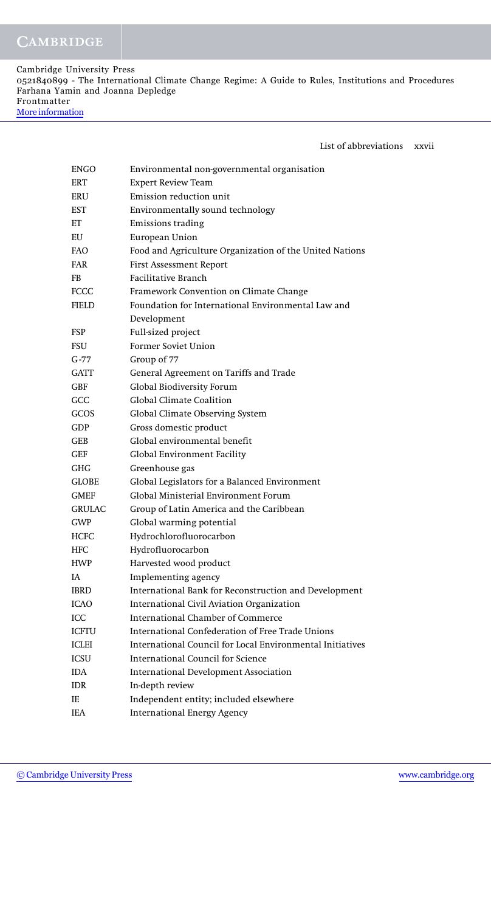List of abbreviations xxvii

| <b>ENGO</b>   | Environmental non-governmental organisation               |
|---------------|-----------------------------------------------------------|
| ERT           | <b>Expert Review Team</b>                                 |
| ERU           | Emission reduction unit                                   |
| EST           | Environmentally sound technology                          |
| EТ            | <b>Emissions trading</b>                                  |
| EU            | European Union                                            |
| FAO.          | Food and Agriculture Organization of the United Nations   |
| FAR           | <b>First Assessment Report</b>                            |
| FB            | <b>Facilitative Branch</b>                                |
| FCCC          | Framework Convention on Climate Change                    |
| <b>FIELD</b>  | Foundation for International Environmental Law and        |
|               | Development                                               |
| <b>FSP</b>    | Full-sized project                                        |
| FSU           | Former Soviet Union                                       |
| $G - 77$      | Group of 77                                               |
| GATT          | General Agreement on Tariffs and Trade                    |
| <b>GBF</b>    | Global Biodiversity Forum                                 |
| GCC           | Global Climate Coalition                                  |
| GCOS          | Global Climate Observing System                           |
| GDP           | Gross domestic product                                    |
| <b>GEB</b>    | Global environmental benefit                              |
| <b>GEF</b>    | Global Environment Facility                               |
| GHG           | Greenhouse gas                                            |
| <b>GLOBE</b>  | Global Legislators for a Balanced Environment             |
| <b>GMEF</b>   | Global Ministerial Environment Forum                      |
| <b>GRULAC</b> | Group of Latin America and the Caribbean                  |
| GWP           | Global warming potential                                  |
| <b>HCFC</b>   | Hydrochlorofluorocarbon                                   |
| <b>HFC</b>    | Hydrofluorocarbon                                         |
| <b>HWP</b>    | Harvested wood product                                    |
| IA            | Implementing agency                                       |
| <b>IBRD</b>   | International Bank for Reconstruction and Development     |
| <b>ICAO</b>   | <b>International Civil Aviation Organization</b>          |
| ICC           | International Chamber of Commerce                         |
| <b>ICFTU</b>  | International Confederation of Free Trade Unions          |
| <b>ICLEI</b>  | International Council for Local Environmental Initiatives |
| <b>ICSU</b>   | International Council for Science                         |
| <b>IDA</b>    | <b>International Development Association</b>              |
| <b>IDR</b>    | In-depth review                                           |
| IE            | Independent entity; included elsewhere                    |
| <b>IEA</b>    | <b>International Energy Agency</b>                        |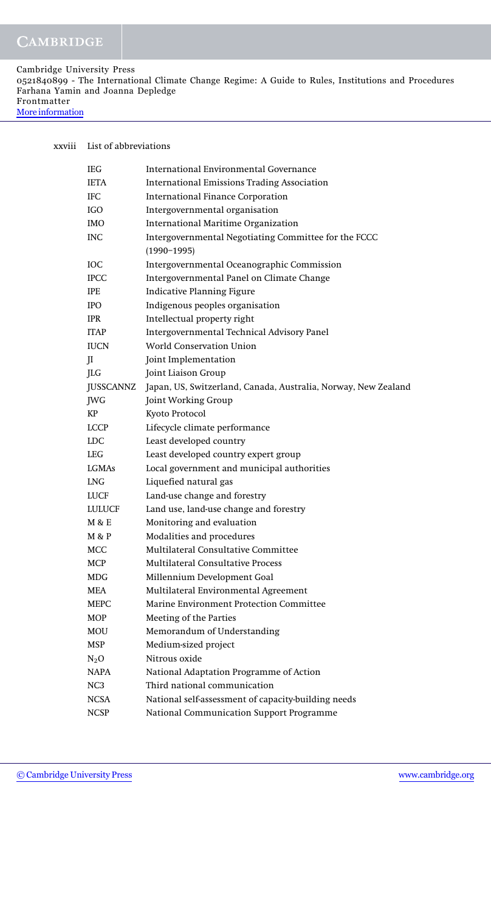| Cambridge University Press                                                                          |
|-----------------------------------------------------------------------------------------------------|
| 0521840899 - The International Climate Change Regime: A Guide to Rules, Institutions and Procedures |
| Farhana Yamin and Joanna Depledge                                                                   |
| Frontmatter                                                                                         |
| More information                                                                                    |

| xxviii | List of abbreviations |                                                                |
|--------|-----------------------|----------------------------------------------------------------|
|        | <b>IEG</b>            | International Environmental Governance                         |
|        | <b>IETA</b>           | <b>International Emissions Trading Association</b>             |
|        | <b>IFC</b>            | <b>International Finance Corporation</b>                       |
|        | IGO                   | Intergovernmental organisation                                 |
|        | <b>IMO</b>            | International Maritime Organization                            |
|        | <b>INC</b>            | Intergovernmental Negotiating Committee for the FCCC           |
|        |                       | $(1990 - 1995)$                                                |
|        | <b>IOC</b>            | Intergovernmental Oceanographic Commission                     |
|        | <b>IPCC</b>           | Intergovernmental Panel on Climate Change                      |
|        | <b>IPE</b>            | <b>Indicative Planning Figure</b>                              |
|        | <b>IPO</b>            | Indigenous peoples organisation                                |
|        | <b>IPR</b>            | Intellectual property right                                    |
|        | <b>TAP</b>            | Intergovernmental Technical Advisory Panel                     |
|        | <b>IUCN</b>           | World Conservation Union                                       |
|        | $\mathbf{I}$          | Joint Implementation                                           |
|        | JLG                   | Joint Liaison Group                                            |
|        | <b>JUSSCANNZ</b>      | Japan, US, Switzerland, Canada, Australia, Norway, New Zealand |
|        | JWG                   | Joint Working Group                                            |
|        | KP                    | Kyoto Protocol                                                 |
|        | <b>LCCP</b>           | Lifecycle climate performance                                  |
|        | LDC.                  | Least developed country                                        |
|        | <b>LEG</b>            | Least developed country expert group                           |
|        | <b>LGMAs</b>          | Local government and municipal authorities                     |
|        | <b>LNG</b>            | Liquefied natural gas                                          |
|        | <b>LUCF</b>           | Land-use change and forestry                                   |
|        | <b>LULUCF</b>         | Land use, land-use change and forestry                         |
|        | M & E                 | Monitoring and evaluation                                      |
|        | M & P                 | Modalities and procedures                                      |
|        | <b>MCC</b>            | Multilateral Consultative Committee                            |
|        | MCP                   | <b>Multilateral Consultative Process</b>                       |
|        | <b>MDG</b>            | Millennium Development Goal                                    |
|        | MEA                   | Multilateral Environmental Agreement                           |
|        | MEPC                  | Marine Environment Protection Committee                        |
|        | MOP                   | Meeting of the Parties                                         |
|        | MOU                   | Memorandum of Understanding                                    |
|        | MSP                   | Medium-sized project                                           |
|        | $N_2O$                | Nitrous oxide                                                  |
|        | <b>NAPA</b>           | National Adaptation Programme of Action                        |
|        | NC <sub>3</sub>       | Third national communication                                   |
|        | <b>NCSA</b>           | National self-assessment of capacity-building needs            |
|        | <b>NCSP</b>           | National Communication Support Programme                       |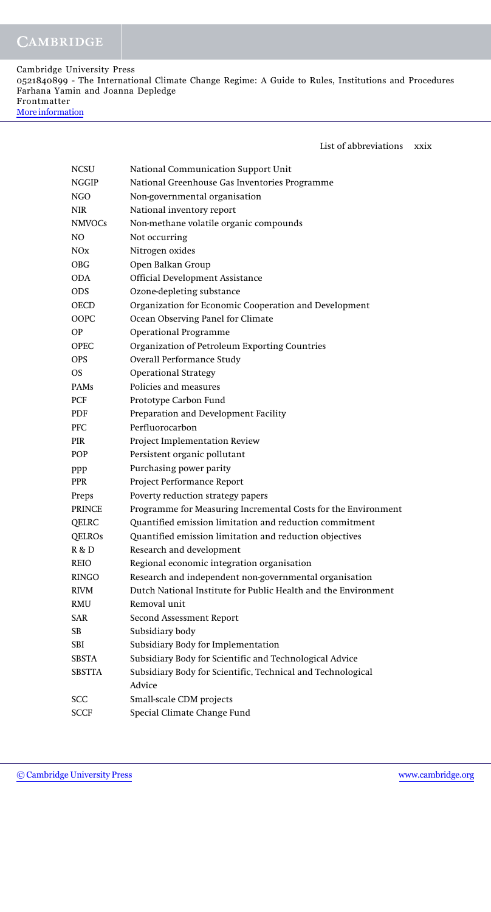List of abbreviations xxix

| <b>NCSU</b>     | National Communication Support Unit                            |
|-----------------|----------------------------------------------------------------|
| <b>NGGIP</b>    | National Greenhouse Gas Inventories Programme                  |
| NGO.            | Non-governmental organisation                                  |
| <b>NIR</b>      | National inventory report                                      |
| <b>NMVOCs</b>   | Non-methane volatile organic compounds                         |
| NO.             | Not occurring                                                  |
| NO <sub>x</sub> | Nitrogen oxides                                                |
| OBG             | Open Balkan Group                                              |
| <b>ODA</b>      | Official Development Assistance                                |
| <b>ODS</b>      | Ozone-depleting substance                                      |
| OECD            | Organization for Economic Cooperation and Development          |
| OOPC            | Ocean Observing Panel for Climate                              |
| OP.             | Operational Programme                                          |
| <b>OPEC</b>     | Organization of Petroleum Exporting Countries                  |
| <b>OPS</b>      | Overall Performance Study                                      |
| OS              | <b>Operational Strategy</b>                                    |
| <b>PAMs</b>     | Policies and measures                                          |
| PCF             | Prototype Carbon Fund                                          |
| PDF             | Preparation and Development Facility                           |
| <b>PFC</b>      | Perfluorocarbon                                                |
| <b>PIR</b>      | Project Implementation Review                                  |
| POP             | Persistent organic pollutant                                   |
| <b>PPP</b>      | Purchasing power parity                                        |
| <b>PPR</b>      | Project Performance Report                                     |
| Preps           | Poverty reduction strategy papers                              |
| <b>PRINCE</b>   | Programme for Measuring Incremental Costs for the Environment  |
| QELRC           | Quantified emission limitation and reduction commitment        |
| <b>QELROs</b>   | Quantified emission limitation and reduction objectives        |
| R & D           | Research and development                                       |
| <b>REIO</b>     | Regional economic integration organisation                     |
| <b>RINGO</b>    | Research and independent non-governmental organisation         |
| <b>RIVM</b>     | Dutch National Institute for Public Health and the Environment |
| RMU             | Removal unit                                                   |
| SAR             | Second Assessment Report                                       |
| SB              | Subsidiary body                                                |
| SBI             | Subsidiary Body for Implementation                             |
| SBSTA           | Subsidiary Body for Scientific and Technological Advice        |
| <b>SBSTTA</b>   | Subsidiary Body for Scientific, Technical and Technological    |
|                 | Advice                                                         |
| SCC             | Small-scale CDM projects                                       |
| <b>SCCF</b>     | Special Climate Change Fund                                    |
|                 |                                                                |